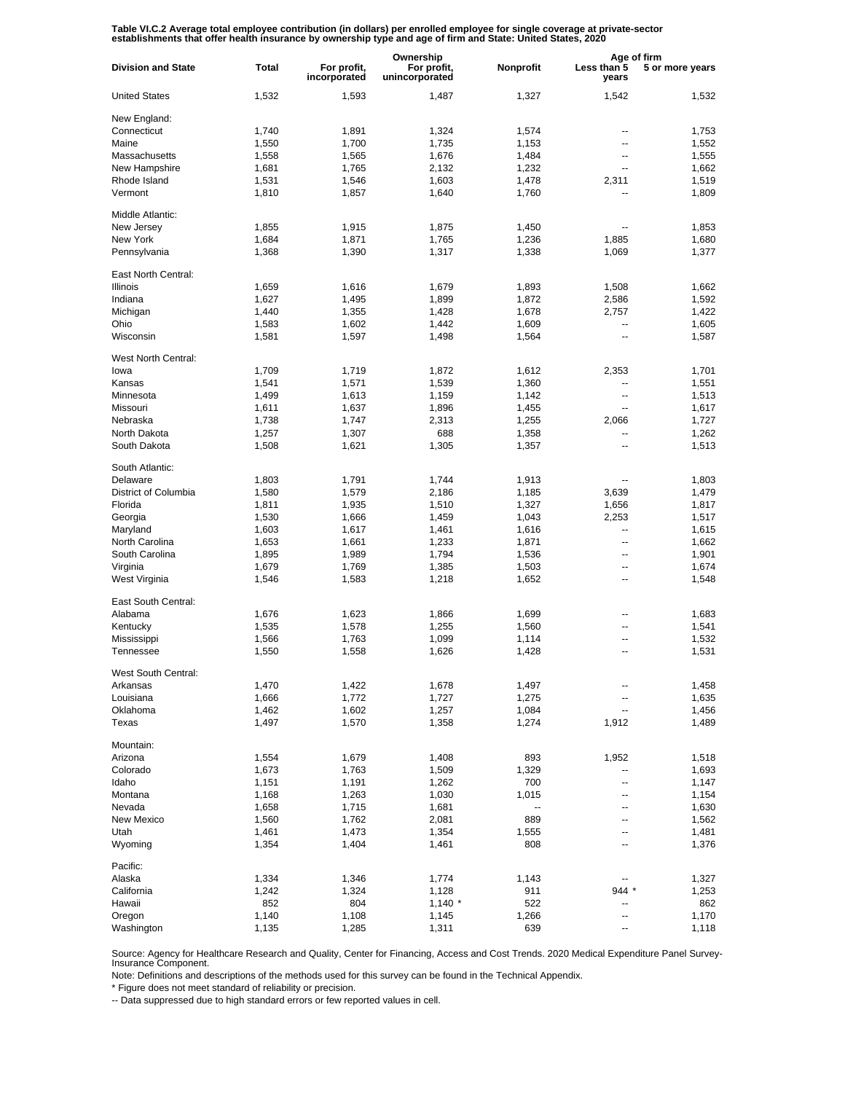Table VI.C.2 Average total employee contribution (in dollars) per enrolled employee for single coverage at private-sector<br>establishments that offer health insurance by ownership type and age of firm and State: United State

|                           |       |                             | Ownership                     |                          | Age of firm          |                 |
|---------------------------|-------|-----------------------------|-------------------------------|--------------------------|----------------------|-----------------|
| <b>Division and State</b> | Total | For profit,<br>incorporated | For profit,<br>unincorporated | Nonprofit                | Less than 5<br>years | 5 or more years |
| <b>United States</b>      | 1,532 | 1,593                       | 1,487                         | 1,327                    | 1,542                | 1,532           |
| New England:              |       |                             |                               |                          |                      |                 |
| Connecticut               | 1,740 | 1,891                       | 1,324                         | 1,574                    | --                   | 1,753           |
| Maine                     | 1,550 | 1,700                       | 1,735                         | 1,153                    | --                   | 1,552           |
| Massachusetts             | 1,558 | 1,565                       | 1,676                         | 1,484                    | --                   | 1,555           |
| New Hampshire             | 1,681 | 1,765                       | 2,132                         | 1,232                    | --                   | 1,662           |
| Rhode Island              | 1,531 | 1,546                       | 1,603                         | 1,478                    | 2,311                | 1,519           |
| Vermont                   | 1,810 | 1,857                       | 1,640                         | 1,760                    |                      | 1,809           |
| Middle Atlantic:          |       |                             |                               |                          |                      |                 |
| New Jersey                | 1,855 | 1,915                       | 1,875                         | 1,450                    | ٠.                   | 1,853           |
| New York                  | 1,684 | 1,871                       | 1,765                         | 1,236                    | 1,885                | 1,680           |
| Pennsylvania              | 1,368 | 1,390                       | 1,317                         | 1,338                    | 1,069                | 1,377           |
| East North Central:       |       |                             |                               |                          |                      |                 |
| <b>Illinois</b>           | 1,659 | 1,616                       | 1,679                         | 1,893                    | 1,508                | 1,662           |
| Indiana                   | 1,627 | 1,495                       | 1,899                         | 1,872                    | 2,586                | 1,592           |
| Michigan                  | 1,440 | 1,355                       | 1,428                         | 1,678                    | 2,757                | 1,422           |
| Ohio                      | 1,583 | 1,602                       | 1,442                         | 1,609                    | --                   | 1,605           |
| Wisconsin                 | 1,581 | 1,597                       | 1,498                         | 1,564                    | ٠.                   | 1,587           |
| West North Central:       |       |                             |                               |                          |                      |                 |
| lowa                      | 1,709 | 1,719                       | 1,872                         | 1,612                    | 2,353                | 1,701           |
| Kansas                    | 1,541 | 1,571                       | 1,539                         | 1,360                    | --                   | 1,551           |
| Minnesota                 | 1,499 | 1,613                       | 1,159                         | 1,142                    | --                   | 1,513           |
| Missouri                  | 1,611 | 1,637                       | 1,896                         | 1,455                    | --                   | 1,617           |
| Nebraska                  | 1,738 | 1,747                       | 2,313                         | 1,255                    | 2,066                | 1,727           |
| North Dakota              | 1,257 | 1,307                       | 688                           | 1,358                    | --                   | 1,262           |
| South Dakota              | 1,508 | 1,621                       | 1,305                         | 1,357                    | --                   | 1,513           |
| South Atlantic:           |       |                             |                               |                          |                      |                 |
| Delaware                  | 1,803 | 1,791                       | 1,744                         | 1,913                    | ٠.                   | 1,803           |
| District of Columbia      | 1,580 | 1,579                       | 2,186                         | 1,185                    | 3,639                | 1,479           |
| Florida                   | 1,811 | 1,935                       | 1,510                         | 1,327                    | 1,656                | 1,817           |
| Georgia                   | 1,530 | 1,666                       | 1,459                         | 1,043                    | 2,253                | 1,517           |
| Maryland                  | 1,603 | 1,617                       | 1,461                         | 1,616                    | --                   | 1,615           |
| North Carolina            | 1,653 | 1,661                       | 1,233                         | 1,871                    | ٠.                   | 1,662           |
| South Carolina            | 1,895 | 1,989                       | 1,794                         | 1,536                    | --                   | 1,901           |
| Virginia                  | 1,679 | 1,769                       | 1,385                         | 1,503                    | --                   | 1,674           |
| West Virginia             | 1,546 | 1,583                       | 1,218                         | 1,652                    | --                   | 1,548           |
| East South Central:       |       |                             |                               |                          |                      |                 |
| Alabama                   | 1,676 | 1,623                       | 1,866                         | 1,699                    |                      | 1,683           |
| Kentucky                  | 1,535 | 1,578                       | 1,255                         | 1,560                    | ۵.                   | 1,541           |
| Mississippi               | 1,566 | 1,763                       | 1,099                         | 1,114                    | --                   | 1,532           |
| Tennessee                 | 1,550 | 1,558                       | 1,626                         | 1,428                    | ۵.                   | 1,531           |
| West South Central:       |       |                             |                               |                          |                      |                 |
| Arkansas                  | 1,470 | 1,422                       | 1,678                         | 1,497                    |                      | 1,458           |
| Louisiana                 | 1,666 | 1,772                       | 1,727                         | 1,275                    | ۰.                   | 1,635           |
| Oklahoma                  | 1,462 | 1,602                       | 1,257                         | 1,084                    | --                   | 1,456           |
| Texas                     | 1,497 | 1,570                       | 1,358                         | 1,274                    | 1,912                | 1,489           |
| Mountain:                 |       |                             |                               |                          |                      |                 |
| Arizona                   | 1,554 | 1,679                       | 1,408                         | 893                      | 1,952                | 1,518           |
| Colorado                  | 1,673 | 1,763                       | 1,509                         | 1,329                    | --                   | 1,693           |
| Idaho                     | 1,151 | 1,191                       | 1,262                         | 700                      | --                   | 1,147           |
| Montana                   | 1,168 | 1,263                       | 1,030                         | 1,015                    | --                   | 1,154           |
| Nevada                    | 1,658 | 1,715                       | 1,681                         | $\overline{\phantom{a}}$ | --                   | 1,630           |
| New Mexico                | 1,560 | 1,762                       | 2,081                         | 889                      | --                   | 1,562           |
| Utah                      | 1,461 | 1,473                       | 1,354                         | 1,555                    | --                   | 1,481           |
| Wyoming                   | 1,354 | 1,404                       | 1,461                         | 808                      | --                   | 1,376           |
| Pacific:                  |       |                             |                               |                          |                      |                 |
| Alaska                    | 1,334 | 1,346                       | 1,774                         | 1,143                    |                      | 1,327           |
| California                | 1,242 | 1,324                       | 1,128                         | 911                      | $944*$               | 1,253           |
| Hawaii                    | 852   | 804                         | $1,140$ *                     | 522                      |                      | 862             |
| Oregon                    | 1,140 | 1,108                       | 1,145                         | 1,266                    | --                   | 1,170           |
| Washington                | 1,135 | 1,285                       | 1,311                         | 639                      | --                   | 1,118           |

Source: Agency for Healthcare Research and Quality, Center for Financing, Access and Cost Trends. 2020 Medical Expenditure Panel Survey-Insurance Component.

Note: Definitions and descriptions of the methods used for this survey can be found in the Technical Appendix.

\* Figure does not meet standard of reliability or precision.

-- Data suppressed due to high standard errors or few reported values in cell.